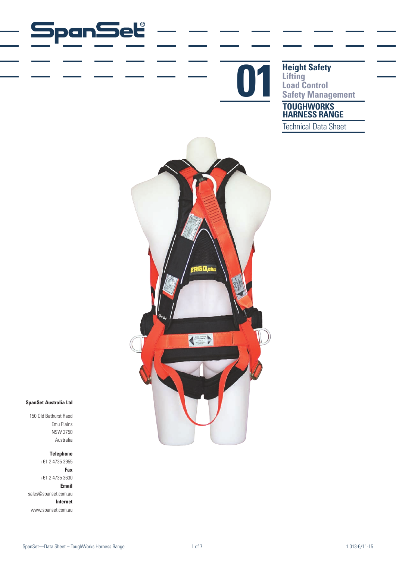

**TOUGHWORKS Height Safety Lifting Completed Reight Safety<br>
Lifting<br>
Safety Management<br>
Safety Management** 

**HARNESS RANGE**

Technical Data Sheet



### **SpanSet Australia Ltd**

150 Old Bathurst Raod Emu Plains NSW 2750 Australia

**Telephone**

panSet

+61 2 4735 3955 **Fax** +61 2 4735 3630 **Email** sales@spanset.com.au **Internet** www.spanset.com.au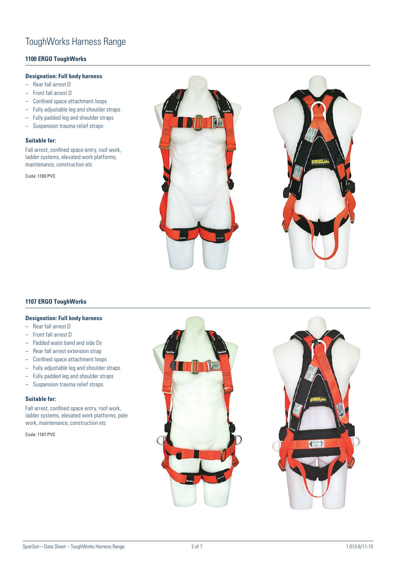## ToughWorks Harness Range

### **1100 ERGO ToughWorks**

### **Designation: Full body harness**

- Rear fall arrest D
- Front fall arrest D
- Confined space attachment loops
- Fully adjustable leg and shoulder straps
- Fully padded leg and shoulder straps
- Suspension trauma relief straps

#### **Suitable for:**

Fall arrest, confined space entry, roof work, ladder systems, elevated work platforms, maintenance, construction etc

Code: 1100 PVC





### **1107 ERGO ToughWorks**

### **Designation: Full body harness**

- Rear fall arrest D
- Front fall arrest D
- Padded waist band and side Ds
- Rear fall arrest extension strap
- Confined space attachment loops
- Fully adjustable leg and shoulder straps
- Fully padded leg and shoulder straps
- Suspension trauma relief straps

#### **Suitable for:**

Fall arrest, confined space entry, roof work, ladder systems, elevated work platforms, pole work, maintenance, construction etc

Code: 1107 PVC



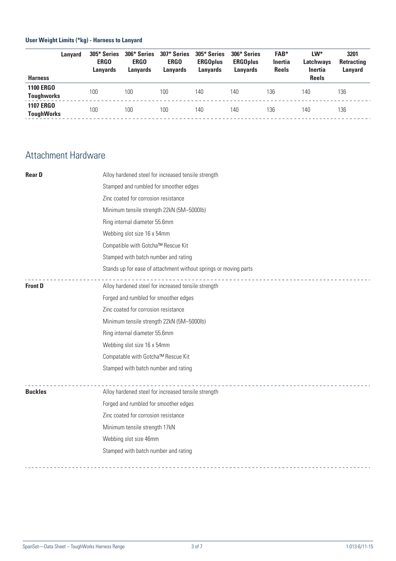## **User Weight Limits (\*kg) - Harness to Lanyard**

|                                       | Lanvard | 305* Series<br><b>ERGO</b><br><b>Lanyards</b> | 306* Series<br><b>ERGO</b><br>Lanvards | 307* Series<br><b>ERGO</b><br><b>Lanvards</b> | 305* Series<br><b>ERGOplus</b><br>Lanvards | 306* Series<br><b>ERGOplus</b><br>Lanyards | <b>FAB*</b><br><b>Inertia</b><br><b>Reels</b> | $LW^*$<br>Latchways<br>Inertia | 3201<br><b>Retracting</b><br>Lanyard |
|---------------------------------------|---------|-----------------------------------------------|----------------------------------------|-----------------------------------------------|--------------------------------------------|--------------------------------------------|-----------------------------------------------|--------------------------------|--------------------------------------|
| <b>Harness</b>                        |         |                                               |                                        |                                               |                                            |                                            |                                               | <b>Reels</b>                   |                                      |
| <b>1100 ERGO</b><br><b>Toughworks</b> |         | 100                                           | 100                                    | 100                                           | 140                                        | 140                                        | 136                                           | 140                            | 136                                  |
| <b>1107 ERGO</b><br><b>ToughWorks</b> |         | 100                                           | 100                                    | 100                                           | 140                                        | 140                                        | 136                                           | 140                            | 136                                  |
|                                       |         |                                               |                                        |                                               |                                            |                                            |                                               |                                |                                      |

# Attachment Hardware

| <b>RearD</b><br>Alloy hardened steel for increased tensile strength |                                                                  |  |  |  |  |  |
|---------------------------------------------------------------------|------------------------------------------------------------------|--|--|--|--|--|
|                                                                     | Stamped and rumbled for smoother edges                           |  |  |  |  |  |
|                                                                     | Zinc coated for corrosion resistance                             |  |  |  |  |  |
|                                                                     | Minimum tensile strength 22kN (5M-5000lb)                        |  |  |  |  |  |
|                                                                     | Ring internal diameter 55.6mm                                    |  |  |  |  |  |
|                                                                     | Webbing slot size 16 x 54mm                                      |  |  |  |  |  |
|                                                                     | Compatible with Gotcha™ Rescue Kit                               |  |  |  |  |  |
|                                                                     | Stamped with batch number and rating                             |  |  |  |  |  |
|                                                                     | Stands up for ease of attachment without springs or moving parts |  |  |  |  |  |
| <b>Front D</b>                                                      | Alloy hardened steel for increased tensile strength              |  |  |  |  |  |
|                                                                     | Forged and rumbled for smoother edges                            |  |  |  |  |  |
|                                                                     | Zinc coated for corrosion resistance                             |  |  |  |  |  |
|                                                                     | Minimum tensile strength 22kN (5M-5000lb)                        |  |  |  |  |  |
|                                                                     | Ring internal diameter 55.6mm                                    |  |  |  |  |  |
|                                                                     | Webbing slot size 16 x 54mm                                      |  |  |  |  |  |
|                                                                     | Compatable with Gotcha™ Rescue Kit                               |  |  |  |  |  |
|                                                                     | Stamped with batch number and rating                             |  |  |  |  |  |
| <b>Buckles</b>                                                      | Alloy hardened steel for increased tensile strength              |  |  |  |  |  |
|                                                                     | Forged and rumbled for smoother edges                            |  |  |  |  |  |
|                                                                     | Zinc coated for corrosion resistance                             |  |  |  |  |  |
|                                                                     | Minimum tensile strength 17kN                                    |  |  |  |  |  |
|                                                                     | Webbing slot size 46mm                                           |  |  |  |  |  |
|                                                                     | Stamped with batch number and rating                             |  |  |  |  |  |
|                                                                     |                                                                  |  |  |  |  |  |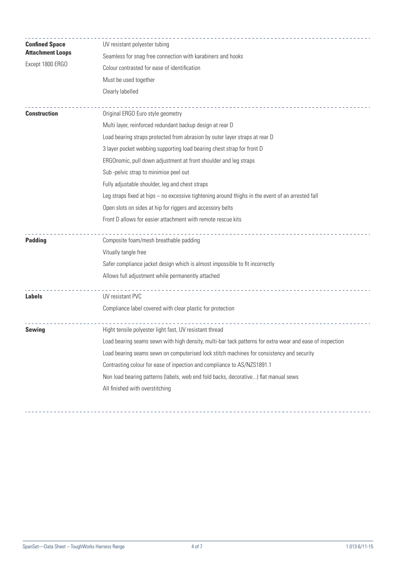| <b>Confined Space</b>   | UV resistant polyester tubing<br>Seamless for snag free connection with karabiners and hooks             |  |  |  |  |  |  |
|-------------------------|----------------------------------------------------------------------------------------------------------|--|--|--|--|--|--|
| <b>Attachment Loops</b> |                                                                                                          |  |  |  |  |  |  |
| Except 1800 ERGO        | Colour contrasted for ease of identification<br>Must be used together                                    |  |  |  |  |  |  |
|                         |                                                                                                          |  |  |  |  |  |  |
|                         | Clearly labelled                                                                                         |  |  |  |  |  |  |
| <b>Construction</b>     | Original ERGO Euro style geometry                                                                        |  |  |  |  |  |  |
|                         | Multi layer, reinforced redundant backup design at rear D                                                |  |  |  |  |  |  |
|                         | Load bearing straps protected from abrasion by outer layer straps at rear D                              |  |  |  |  |  |  |
|                         | 3 layer pocket webbing supporting load bearing chest strap for front D                                   |  |  |  |  |  |  |
|                         | ERGOnomic, pull down adjustment at front shoulder and leg straps                                         |  |  |  |  |  |  |
|                         | Sub-pelvic strap to minimise peel out                                                                    |  |  |  |  |  |  |
|                         | Fully adjustable shoulder, leg and chest straps                                                          |  |  |  |  |  |  |
|                         | Leg straps fixed at hips - no excessive tightening around thighs in the event of an arrested fall        |  |  |  |  |  |  |
|                         | Open slots on sides at hip for riggers and accessory belts                                               |  |  |  |  |  |  |
|                         | Front D allows for easier attachment with remote rescue kits                                             |  |  |  |  |  |  |
| <b>Padding</b>          | Composite foam/mesh breathable padding                                                                   |  |  |  |  |  |  |
|                         | Vitually tangle free                                                                                     |  |  |  |  |  |  |
|                         | Safer compliance jacket design which is almost impossible to fit incorrectly                             |  |  |  |  |  |  |
|                         | Allows full adjustment while permanently attached                                                        |  |  |  |  |  |  |
| <b>Labels</b>           | UV resistant PVC                                                                                         |  |  |  |  |  |  |
|                         | Compliance label covered with clear plastic for protection                                               |  |  |  |  |  |  |
| Sewing                  | Hight tensile polyester light fast, UV resistant thread                                                  |  |  |  |  |  |  |
|                         | Load bearing seams sewn with high density, multi-bar tack patterns for extra wear and ease of inspection |  |  |  |  |  |  |
|                         | Load bearing seams sewn on computerised lock stitch machines for consistency and security                |  |  |  |  |  |  |
|                         | Contrasting colour for ease of inpection and compliance to AS/NZS1891.1                                  |  |  |  |  |  |  |
|                         | Non load bearing patterns (labels, web end fold backs, decorative) flat manual sews                      |  |  |  |  |  |  |
|                         | All finished with overstitching                                                                          |  |  |  |  |  |  |
|                         |                                                                                                          |  |  |  |  |  |  |

 <u>. . . . . . . . . . . . . . . . . . .</u>

   <u>. . . . . . . . . . . . . . . . . .</u>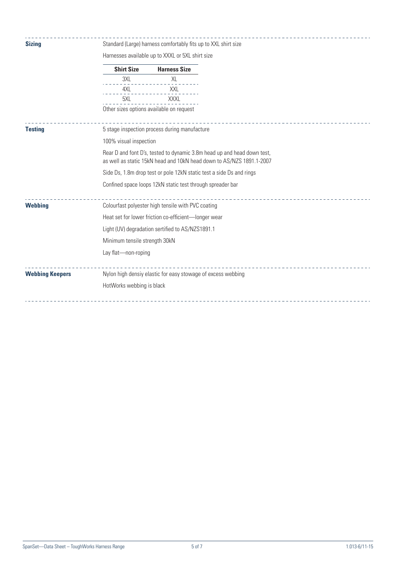| <b>Sizing</b>          | Standard (Large) harness comfortably fits up to XXL shirt size                                                                                  |                                                              |  |  |  |  |  |
|------------------------|-------------------------------------------------------------------------------------------------------------------------------------------------|--------------------------------------------------------------|--|--|--|--|--|
|                        |                                                                                                                                                 | Harnesses available up to XXXL or 5XL shirt size             |  |  |  |  |  |
|                        | <b>Shirt Size</b>                                                                                                                               | <b>Harness Size</b>                                          |  |  |  |  |  |
|                        | 3XL                                                                                                                                             | XL                                                           |  |  |  |  |  |
|                        | 4XL                                                                                                                                             | XXL                                                          |  |  |  |  |  |
|                        | 5XL                                                                                                                                             | XXXL                                                         |  |  |  |  |  |
|                        | Other sizes options available on request                                                                                                        |                                                              |  |  |  |  |  |
| <b>Testing</b>         | 5 stage inspection process during manufacture                                                                                                   |                                                              |  |  |  |  |  |
|                        | 100% visual inspection                                                                                                                          |                                                              |  |  |  |  |  |
|                        | Rear D and font D's, tested to dynamic 3.8m head up and head down test,<br>as well as static 15kN head and 10kN head down to AS/NZS 1891.1-2007 |                                                              |  |  |  |  |  |
|                        | Side Ds, 1.8m drop test or pole 12kN static test a side Ds and rings                                                                            |                                                              |  |  |  |  |  |
|                        |                                                                                                                                                 | Confined space loops 12kN static test through spreader bar   |  |  |  |  |  |
| <b>Webbing</b>         | Colourfast polyester high tensile with PVC coating                                                                                              |                                                              |  |  |  |  |  |
|                        | Heat set for lower friction co-efficient-longer wear                                                                                            |                                                              |  |  |  |  |  |
|                        | Light (UV) degradation sertified to AS/NZS1891.1                                                                                                |                                                              |  |  |  |  |  |
|                        | Minimum tensile strength 30kN                                                                                                                   |                                                              |  |  |  |  |  |
|                        | Lay flat-non-roping                                                                                                                             |                                                              |  |  |  |  |  |
| <b>Webbing Keepers</b> |                                                                                                                                                 | Nylon high densiy elastic for easy stowage of excess webbing |  |  |  |  |  |
|                        | HotWorks webbing is black                                                                                                                       |                                                              |  |  |  |  |  |
|                        |                                                                                                                                                 |                                                              |  |  |  |  |  |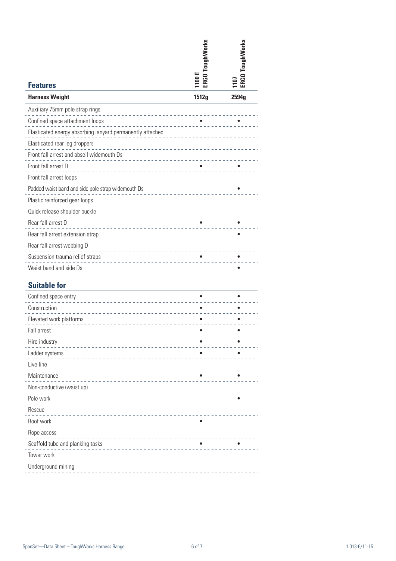| <b>Features</b>                                                                                          | ERGO ToughWorks<br>1100 E | ERGO ToughWorks<br>107 |
|----------------------------------------------------------------------------------------------------------|---------------------------|------------------------|
| <b>Harness Weight</b>                                                                                    | 1512g                     | 2594g                  |
| Auxiliary 75mm pole strap rings                                                                          |                           |                        |
| Confined space attachment loops                                                                          |                           |                        |
| ------<br>Elasticated energy absorbing lanyard permanently attached                                      |                           |                        |
| Elasticated rear leg droppers<br><u> - - - - - - - - -</u>                                               |                           |                        |
| Front fall arrest and abseil widemouth Ds<br>Front fall arrest and abseil widemouth Ds                   |                           |                        |
| Front fall arrest D<br><u> 1111111111111111111</u>                                                       |                           |                        |
| Front fall arrest loops<br>_________________________                                                     |                           |                        |
| Padded waist band and side pole strap widemouth Ds<br>Padded waist band and side pole strap widemouth Ds |                           |                        |
| Plastic reinforced gear loops                                                                            |                           |                        |
| Quick release shoulder buckle<br>_____________________________                                           |                           |                        |
| Rear fall arrest D                                                                                       |                           |                        |
| Rear fall arrest extension strap                                                                         |                           |                        |
| Rear fall arrest webbing D                                                                               |                           |                        |
| Suspension trauma relief straps<br>_____________________                                                 |                           |                        |
| Waist band and side Ds                                                                                   |                           |                        |
| <b>Suitable for</b>                                                                                      |                           |                        |
| Confined space entry                                                                                     |                           |                        |
| Construction<br><u> 11111111111111</u>                                                                   |                           |                        |
| Elevated work platforms                                                                                  |                           |                        |
| Fall arrest                                                                                              |                           |                        |
|                                                                                                          |                           |                        |

| Hire industry                                                                                                                     |           |  |
|-----------------------------------------------------------------------------------------------------------------------------------|-----------|--|
| Ladder systems                                                                                                                    |           |  |
| Live line                                                                                                                         |           |  |
| Maintenance                                                                                                                       |           |  |
| Non-conductive (waist up)                                                                                                         |           |  |
| Pole work                                                                                                                         |           |  |
| Rescue                                                                                                                            |           |  |
| Roof work<br><u> 1999 - Francis Start, mars et al. Ingles Start et al. Ingles Start et al. Ingles Start et al. Ingles Start e</u> | $\bullet$ |  |
| Rope access                                                                                                                       |           |  |
| Scaffold tube and planking tasks                                                                                                  |           |  |
| Tower work                                                                                                                        |           |  |
| Underground mining                                                                                                                |           |  |
|                                                                                                                                   |           |  |